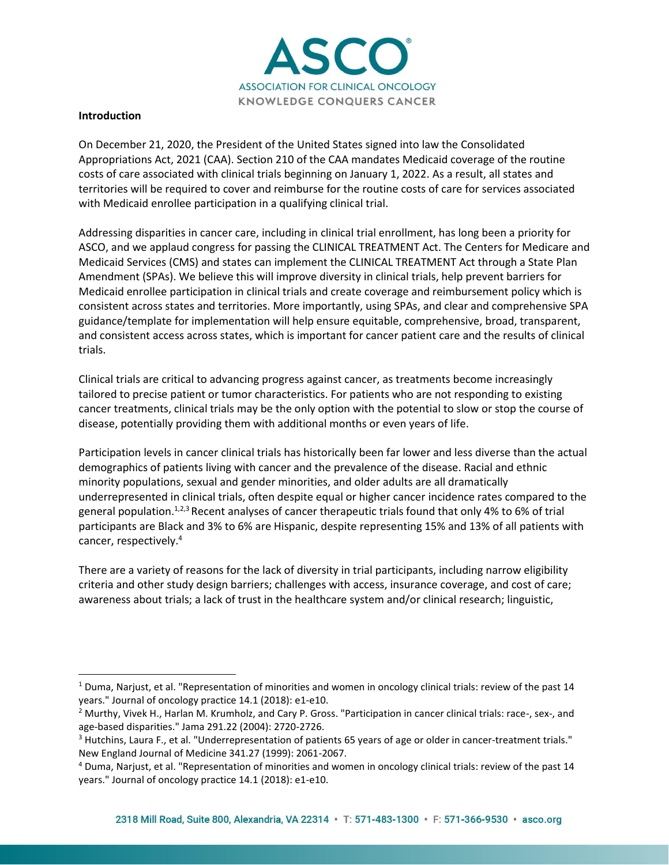

## **Introduction**

On December 21, 2020, the President of the United States signed into law the Consolidated Appropriations Act, 2021 (CAA). Section 210 of the CAA mandates Medicaid coverage of the routine costs of care associated with clinical trials beginning on January 1, 2022. As a result, all states and territories will be required to cover and reimburse for the routine costs of care for services associated with Medicaid enrollee participation in a qualifying clinical trial.

Addressing disparities in cancer care, including in clinical trial enrollment, has long been a priority for ASCO, and we applaud congress for passing the CLINICAL TREATMENT Act. The Centers for Medicare and Medicaid Services (CMS) and states can implement the CLINICAL TREATMENT Act through a State Plan Amendment (SPAs). We believe this will improve diversity in clinical trials, help prevent barriers for Medicaid enrollee participation in clinical trials and create coverage and reimbursement policy which is consistent across states and territories. More importantly, using SPAs, and clear and comprehensive SPA guidance/template for implementation will help ensure equitable, comprehensive, broad, transparent, and consistent access across states, which is important for cancer patient care and the results of clinical trials.

Clinical trials are critical to advancing progress against cancer, as treatments become increasingly tailored to precise patient or tumor characteristics. For patients who are not responding to existing cancer treatments, clinical trials may be the only option with the potential to slow or stop the course of disease, potentially providing them with additional months or even years of life.

Participation levels in cancer clinical trials has historically been far lower and less diverse than the actual demographics of patients living with cancer and the prevalence of the disease. Racial and ethnic minority populations, sexual and gender minorities, and older adults are all dramatically underrepresented in clinical trials, often despite equal or higher cancer incidence rates compared to the general population.<sup>1,2,3</sup> Recent analyses of cancer therapeutic trials found that only 4% to 6% of trial participants are Black and 3% to 6% are Hispanic, despite representing 15% and 13% of all patients with cancer, respectively. 4

There are a variety of reasons for the lack of diversity in trial participants, including narrow eligibility criteria and other study design barriers; challenges with access, insurance coverage, and cost of care; awareness about trials; a lack of trust in the healthcare system and/or clinical research; linguistic,

<sup>&</sup>lt;sup>1</sup> Duma, Narjust, et al. "Representation of minorities and women in oncology clinical trials: review of the past 14 years." Journal of oncology practice 14.1 (2018): e1-e10.

<sup>&</sup>lt;sup>2</sup> Murthy, Vivek H., Harlan M. Krumholz, and Cary P. Gross. "Participation in cancer clinical trials: race-, sex-, and age-based disparities." Jama 291.22 (2004): 2720-2726.

<sup>&</sup>lt;sup>3</sup> Hutchins, Laura F., et al. "Underrepresentation of patients 65 years of age or older in cancer-treatment trials." New England Journal of Medicine 341.27 (1999): 2061-2067.

<sup>4</sup> Duma, Narjust, et al. "Representation of minorities and women in oncology clinical trials: review of the past 14 years." Journal of oncology practice 14.1 (2018): e1-e10.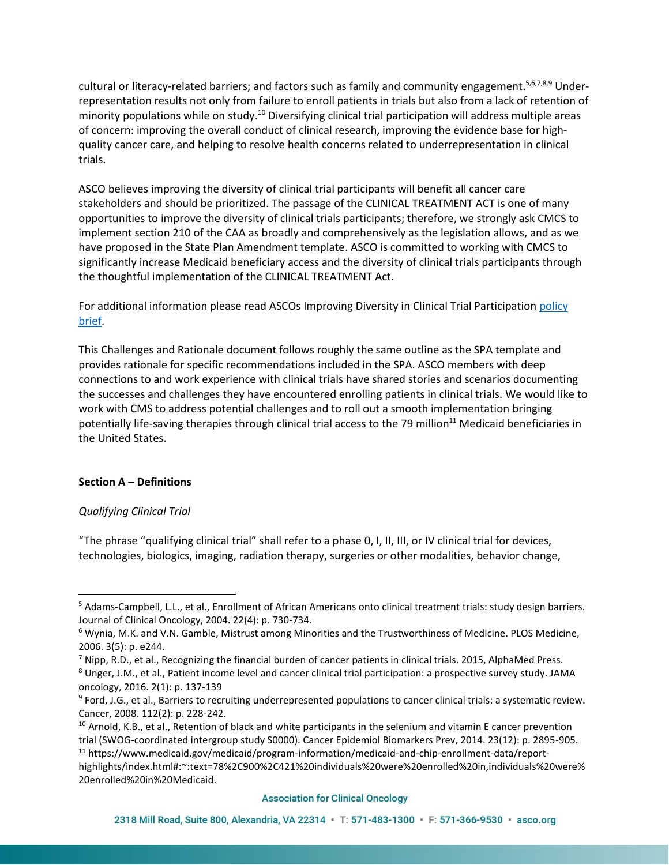cultural or literacy-related barriers; and factors such as family and community engagement.<sup>5,6,7,8,9</sup> Underrepresentation results not only from failure to enroll patients in trials but also from a lack of retention of minority populations while on study.<sup>10</sup> Diversifying clinical trial participation will address multiple areas of concern: improving the overall conduct of clinical research, improving the evidence base for highquality cancer care, and helping to resolve health concerns related to underrepresentation in clinical trials.

ASCO believes improving the diversity of clinical trial participants will benefit all cancer care stakeholders and should be prioritized. The passage of the CLINICAL TREATMENT ACT is one of many opportunities to improve the diversity of clinical trials participants; therefore, we strongly ask CMCS to implement section 210 of the CAA as broadly and comprehensively as the legislation allows, and as we have proposed in the State Plan Amendment template. ASCO is committed to working with CMCS to significantly increase Medicaid beneficiary access and the diversity of clinical trials participants through the thoughtful implementation of the CLINICAL TREATMENT Act.

For additional information please read ASCOs Improving Diversity in Clinical Trial Participatio[n policy](https://www.asco.org/sites/new-www.asco.org/files/content-files/advocacy-and-policy/documents/2020-CTDiv-Brief.pdf)  [brief.](https://www.asco.org/sites/new-www.asco.org/files/content-files/advocacy-and-policy/documents/2020-CTDiv-Brief.pdf)

This Challenges and Rationale document follows roughly the same outline as the SPA template and provides rationale for specific recommendations included in the SPA. ASCO members with deep connections to and work experience with clinical trials have shared stories and scenarios documenting the successes and challenges they have encountered enrolling patients in clinical trials. We would like to work with CMS to address potential challenges and to roll out a smooth implementation bringing potentially life-saving therapies through clinical trial access to the 79 million<sup>11</sup> Medicaid beneficiaries in the United States.

# **Section A – Definitions**

# *Qualifying Clinical Trial*

"The phrase "qualifying clinical trial" shall refer to a phase 0, I, II, III, or IV clinical trial for devices, technologies, biologics, imaging, radiation therapy, surgeries or other modalities, behavior change,

<sup>5</sup> Adams-Campbell, L.L., et al., Enrollment of African Americans onto clinical treatment trials: study design barriers. Journal of Clinical Oncology, 2004. 22(4): p. 730-734.

<sup>6</sup> Wynia, M.K. and V.N. Gamble, Mistrust among Minorities and the Trustworthiness of Medicine. PLOS Medicine, 2006. 3(5): p. e244.

 $<sup>7</sup>$  Nipp, R.D., et al., Recognizing the financial burden of cancer patients in clinical trials. 2015, AlphaMed Press.</sup>

<sup>8</sup> Unger, J.M., et al., Patient income level and cancer clinical trial participation: a prospective survey study. JAMA oncology, 2016. 2(1): p. 137-139

<sup>&</sup>lt;sup>9</sup> Ford, J.G., et al., Barriers to recruiting underrepresented populations to cancer clinical trials: a systematic review. Cancer, 2008. 112(2): p. 228-242.

 $10$  Arnold, K.B., et al., Retention of black and white participants in the selenium and vitamin E cancer prevention trial (SWOG-coordinated intergroup study S0000). Cancer Epidemiol Biomarkers Prev, 2014. 23(12): p. 2895-905. <sup>11</sup> https://www.medicaid.gov/medicaid/program-information/medicaid-and-chip-enrollment-data/report-

highlights/index.html#:~:text=78%2C900%2C421%20individuals%20were%20enrolled%20in,individuals%20were% 20enrolled%20in%20Medicaid.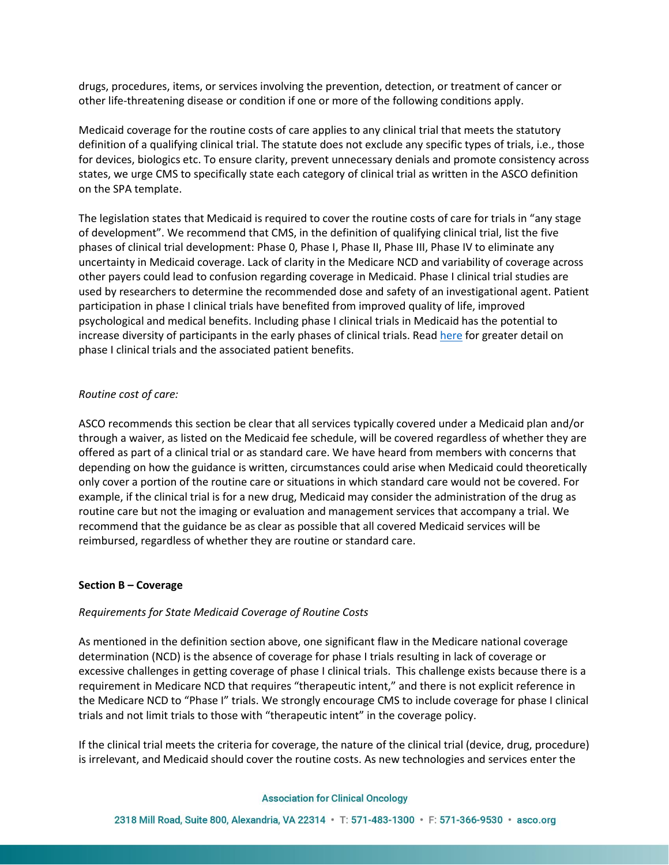drugs, procedures, items, or services involving the prevention, detection, or treatment of cancer or other life-threatening disease or condition if one or more of the following conditions apply.

Medicaid coverage for the routine costs of care applies to any clinical trial that meets the statutory definition of a qualifying clinical trial. The statute does not exclude any specific types of trials, i.e., those for devices, biologics etc. To ensure clarity, prevent unnecessary denials and promote consistency across states, we urge CMS to specifically state each category of clinical trial as written in the ASCO definition on the SPA template.

The legislation states that Medicaid is required to cover the routine costs of care for trials in "any stage of development". We recommend that CMS, in the definition of qualifying clinical trial, list the five phases of clinical trial development: Phase 0, Phase I, Phase II, Phase III, Phase IV to eliminate any uncertainty in Medicaid coverage. Lack of clarity in the Medicare NCD and variability of coverage across other payers could lead to confusion regarding coverage in Medicaid. Phase I clinical trial studies are used by researchers to determine the recommended dose and safety of an investigational agent. Patient participation in phase I clinical trials have benefited from improved quality of life, improved psychological and medical benefits. Including phase I clinical trials in Medicaid has the potential to increase diversity of participants in the early phases of clinical trials. Rea[d here](https://ascopubs.org/doi/full/10.1200/JCO.2014.58.2635) for greater detail on phase I clinical trials and the associated patient benefits.

## *Routine cost of care:*

ASCO recommends this section be clear that all services typically covered under a Medicaid plan and/or through a waiver, as listed on the Medicaid fee schedule, will be covered regardless of whether they are offered as part of a clinical trial or as standard care. We have heard from members with concerns that depending on how the guidance is written, circumstances could arise when Medicaid could theoretically only cover a portion of the routine care or situations in which standard care would not be covered. For example, if the clinical trial is for a new drug, Medicaid may consider the administration of the drug as routine care but not the imaging or evaluation and management services that accompany a trial. We recommend that the guidance be as clear as possible that all covered Medicaid services will be reimbursed, regardless of whether they are routine or standard care.

#### **Section B – Coverage**

## *Requirements for State Medicaid Coverage of Routine Costs*

As mentioned in the definition section above, one significant flaw in the Medicare national coverage determination (NCD) is the absence of coverage for phase I trials resulting in lack of coverage or excessive challenges in getting coverage of phase I clinical trials. This challenge exists because there is a requirement in Medicare NCD that requires "therapeutic intent," and there is not explicit reference in the Medicare NCD to "Phase I" trials. We strongly encourage CMS to include coverage for phase I clinical trials and not limit trials to those with "therapeutic intent" in the coverage policy.

If the clinical trial meets the criteria for coverage, the nature of the clinical trial (device, drug, procedure) is irrelevant, and Medicaid should cover the routine costs. As new technologies and services enter the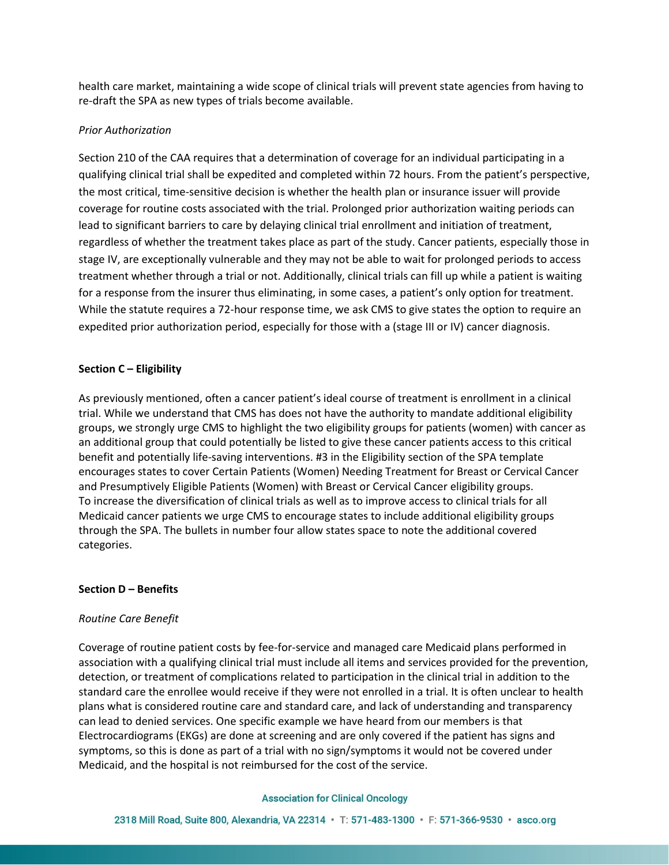health care market, maintaining a wide scope of clinical trials will prevent state agencies from having to re-draft the SPA as new types of trials become available.

## *Prior Authorization*

Section 210 of the CAA requires that a determination of coverage for an individual participating in a qualifying clinical trial shall be expedited and completed within 72 hours. From the patient's perspective, the most critical, time-sensitive decision is whether the health plan or insurance issuer will provide coverage for routine costs associated with the trial. Prolonged prior authorization waiting periods can lead to significant barriers to care by delaying clinical trial enrollment and initiation of treatment, regardless of whether the treatment takes place as part of the study. Cancer patients, especially those in stage IV, are exceptionally vulnerable and they may not be able to wait for prolonged periods to access treatment whether through a trial or not. Additionally, clinical trials can fill up while a patient is waiting for a response from the insurer thus eliminating, in some cases, a patient's only option for treatment. While the statute requires a 72-hour response time, we ask CMS to give states the option to require an expedited prior authorization period, especially for those with a (stage III or IV) cancer diagnosis.

## **Section C – Eligibility**

As previously mentioned, often a cancer patient's ideal course of treatment is enrollment in a clinical trial. While we understand that CMS has does not have the authority to mandate additional eligibility groups, we strongly urge CMS to highlight the two eligibility groups for patients (women) with cancer as an additional group that could potentially be listed to give these cancer patients access to this critical benefit and potentially life-saving interventions. #3 in the Eligibility section of the SPA template encourages states to cover Certain Patients (Women) Needing Treatment for Breast or Cervical Cancer and Presumptively Eligible Patients (Women) with Breast or Cervical Cancer eligibility groups. To increase the diversification of clinical trials as well as to improve access to clinical trials for all Medicaid cancer patients we urge CMS to encourage states to include additional eligibility groups through the SPA. The bullets in number four allow states space to note the additional covered categories.

# **Section D – Benefits**

## *Routine Care Benefit*

Coverage of routine patient costs by fee-for-service and managed care Medicaid plans performed in association with a qualifying clinical trial must include all items and services provided for the prevention, detection, or treatment of complications related to participation in the clinical trial in addition to the standard care the enrollee would receive if they were not enrolled in a trial. It is often unclear to health plans what is considered routine care and standard care, and lack of understanding and transparency can lead to denied services. One specific example we have heard from our members is that Electrocardiograms (EKGs) are done at screening and are only covered if the patient has signs and symptoms, so this is done as part of a trial with no sign/symptoms it would not be covered under Medicaid, and the hospital is not reimbursed for the cost of the service.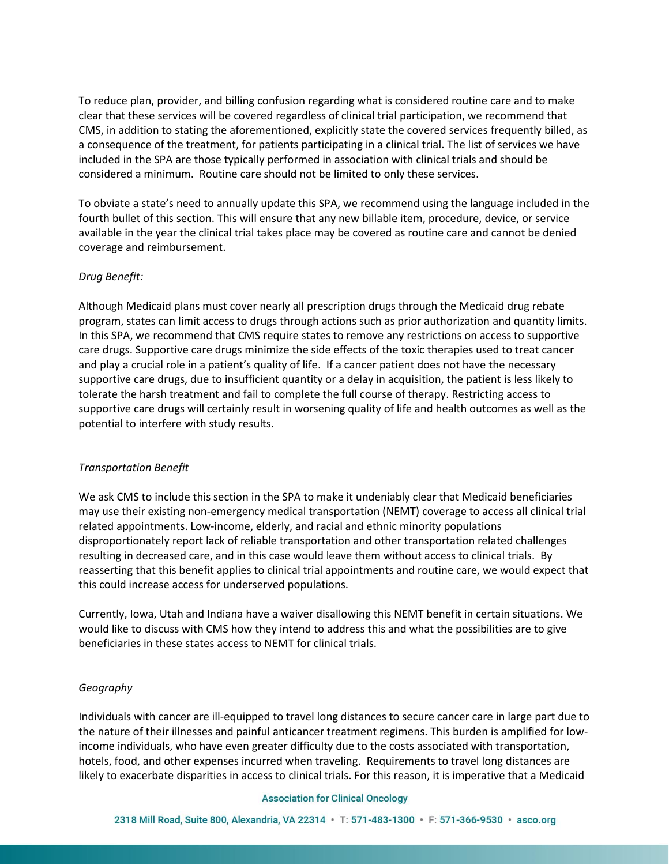To reduce plan, provider, and billing confusion regarding what is considered routine care and to make clear that these services will be covered regardless of clinical trial participation, we recommend that CMS, in addition to stating the aforementioned, explicitly state the covered services frequently billed, as a consequence of the treatment, for patients participating in a clinical trial. The list of services we have included in the SPA are those typically performed in association with clinical trials and should be considered a minimum. Routine care should not be limited to only these services.

To obviate a state's need to annually update this SPA, we recommend using the language included in the fourth bullet of this section. This will ensure that any new billable item, procedure, device, or service available in the year the clinical trial takes place may be covered as routine care and cannot be denied coverage and reimbursement.

# *Drug Benefit:*

Although Medicaid plans must cover nearly all prescription drugs through the Medicaid drug rebate program, states can limit access to drugs through actions such as prior authorization and quantity limits. In this SPA, we recommend that CMS require states to remove any restrictions on access to supportive care drugs. Supportive care drugs minimize the side effects of the toxic therapies used to treat cancer and play a crucial role in a patient's quality of life. If a cancer patient does not have the necessary supportive care drugs, due to insufficient quantity or a delay in acquisition, the patient is less likely to tolerate the harsh treatment and fail to complete the full course of therapy. Restricting access to supportive care drugs will certainly result in worsening quality of life and health outcomes as well as the potential to interfere with study results.

## *Transportation Benefit*

We ask CMS to include this section in the SPA to make it undeniably clear that Medicaid beneficiaries may use their existing non-emergency medical transportation (NEMT) coverage to access all clinical trial related appointments. Low-income, elderly, and racial and ethnic minority populations disproportionately report lack of reliable transportation and other transportation related challenges resulting in decreased care, and in this case would leave them without access to clinical trials. By reasserting that this benefit applies to clinical trial appointments and routine care, we would expect that this could increase access for underserved populations.

Currently, Iowa, Utah and Indiana have a waiver disallowing this NEMT benefit in certain situations. We would like to discuss with CMS how they intend to address this and what the possibilities are to give beneficiaries in these states access to NEMT for clinical trials.

# *Geography*

Individuals with cancer are ill-equipped to travel long distances to secure cancer care in large part due to the nature of their illnesses and painful anticancer treatment regimens. This burden is amplified for lowincome individuals, who have even greater difficulty due to the costs associated with transportation, hotels, food, and other expenses incurred when traveling. Requirements to travel long distances are likely to exacerbate disparities in access to clinical trials. For this reason, it is imperative that a Medicaid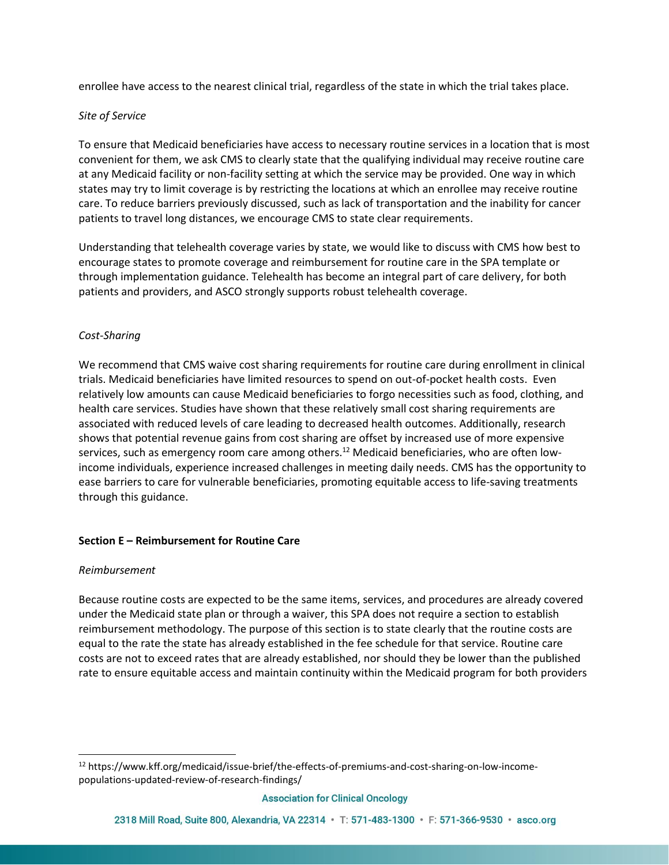enrollee have access to the nearest clinical trial, regardless of the state in which the trial takes place.

## *Site of Service*

To ensure that Medicaid beneficiaries have access to necessary routine services in a location that is most convenient for them, we ask CMS to clearly state that the qualifying individual may receive routine care at any Medicaid facility or non-facility setting at which the service may be provided. One way in which states may try to limit coverage is by restricting the locations at which an enrollee may receive routine care. To reduce barriers previously discussed, such as lack of transportation and the inability for cancer patients to travel long distances, we encourage CMS to state clear requirements.

Understanding that telehealth coverage varies by state, we would like to discuss with CMS how best to encourage states to promote coverage and reimbursement for routine care in the SPA template or through implementation guidance. Telehealth has become an integral part of care delivery, for both patients and providers, and ASCO strongly supports robust telehealth coverage.

# *Cost-Sharing*

We recommend that CMS waive cost sharing requirements for routine care during enrollment in clinical trials. Medicaid beneficiaries have limited resources to spend on out-of-pocket health costs. Even relatively low amounts can cause Medicaid beneficiaries to forgo necessities such as food, clothing, and health care services. Studies have shown that these relatively small cost sharing requirements are associated with reduced levels of care leading to decreased health outcomes. Additionally, research shows that potential revenue gains from cost sharing are offset by increased use of more expensive services, such as emergency room care among others.<sup>12</sup> Medicaid beneficiaries, who are often lowincome individuals, experience increased challenges in meeting daily needs. CMS has the opportunity to ease barriers to care for vulnerable beneficiaries, promoting equitable access to life-saving treatments through this guidance.

# **Section E – Reimbursement for Routine Care**

## *Reimbursement*

Because routine costs are expected to be the same items, services, and procedures are already covered under the Medicaid state plan or through a waiver, this SPA does not require a section to establish reimbursement methodology. The purpose of this section is to state clearly that the routine costs are equal to the rate the state has already established in the fee schedule for that service. Routine care costs are not to exceed rates that are already established, nor should they be lower than the published rate to ensure equitable access and maintain continuity within the Medicaid program for both providers

<sup>12</sup> https://www.kff.org/medicaid/issue-brief/the-effects-of-premiums-and-cost-sharing-on-low-incomepopulations-updated-review-of-research-findings/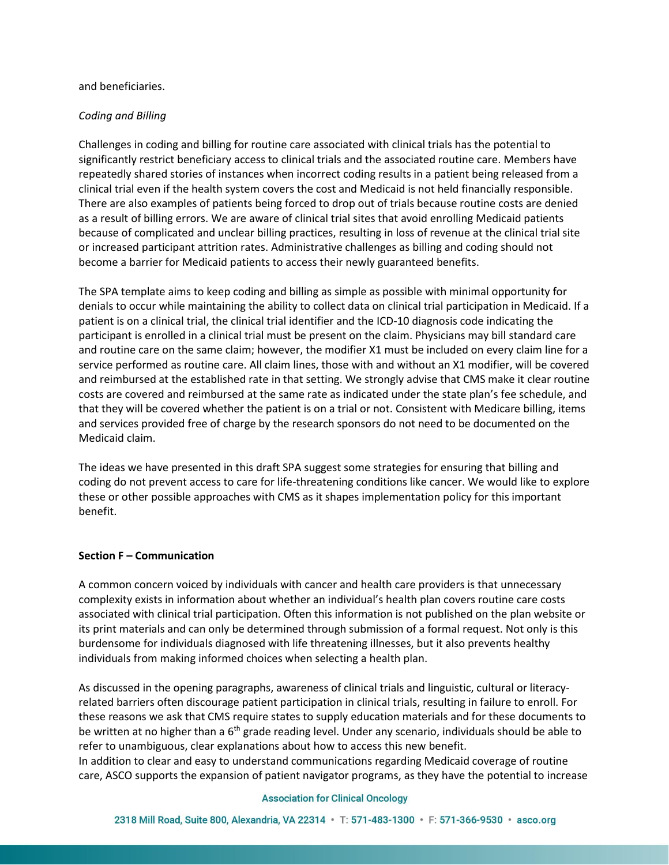#### and beneficiaries.

## *Coding and Billing*

Challenges in coding and billing for routine care associated with clinical trials has the potential to significantly restrict beneficiary access to clinical trials and the associated routine care. Members have repeatedly shared stories of instances when incorrect coding results in a patient being released from a clinical trial even if the health system covers the cost and Medicaid is not held financially responsible. There are also examples of patients being forced to drop out of trials because routine costs are denied as a result of billing errors. We are aware of clinical trial sites that avoid enrolling Medicaid patients because of complicated and unclear billing practices, resulting in loss of revenue at the clinical trial site or increased participant attrition rates. Administrative challenges as billing and coding should not become a barrier for Medicaid patients to access their newly guaranteed benefits.

The SPA template aims to keep coding and billing as simple as possible with minimal opportunity for denials to occur while maintaining the ability to collect data on clinical trial participation in Medicaid. If a patient is on a clinical trial, the clinical trial identifier and the ICD-10 diagnosis code indicating the participant is enrolled in a clinical trial must be present on the claim. Physicians may bill standard care and routine care on the same claim; however, the modifier X1 must be included on every claim line for a service performed as routine care. All claim lines, those with and without an X1 modifier, will be covered and reimbursed at the established rate in that setting. We strongly advise that CMS make it clear routine costs are covered and reimbursed at the same rate as indicated under the state plan's fee schedule, and that they will be covered whether the patient is on a trial or not. Consistent with Medicare billing, items and services provided free of charge by the research sponsors do not need to be documented on the Medicaid claim.

The ideas we have presented in this draft SPA suggest some strategies for ensuring that billing and coding do not prevent access to care for life-threatening conditions like cancer. We would like to explore these or other possible approaches with CMS as it shapes implementation policy for this important benefit.

## **Section F – Communication**

A common concern voiced by individuals with cancer and health care providers is that unnecessary complexity exists in information about whether an individual's health plan covers routine care costs associated with clinical trial participation. Often this information is not published on the plan website or its print materials and can only be determined through submission of a formal request. Not only is this burdensome for individuals diagnosed with life threatening illnesses, but it also prevents healthy individuals from making informed choices when selecting a health plan.

As discussed in the opening paragraphs, awareness of clinical trials and linguistic, cultural or literacyrelated barriers often discourage patient participation in clinical trials, resulting in failure to enroll. For these reasons we ask that CMS require states to supply education materials and for these documents to be written at no higher than a 6<sup>th</sup> grade reading level. Under any scenario, individuals should be able to refer to unambiguous, clear explanations about how to access this new benefit.

In addition to clear and easy to understand communications regarding Medicaid coverage of routine care, ASCO supports the expansion of patient navigator programs, as they have the potential to increase